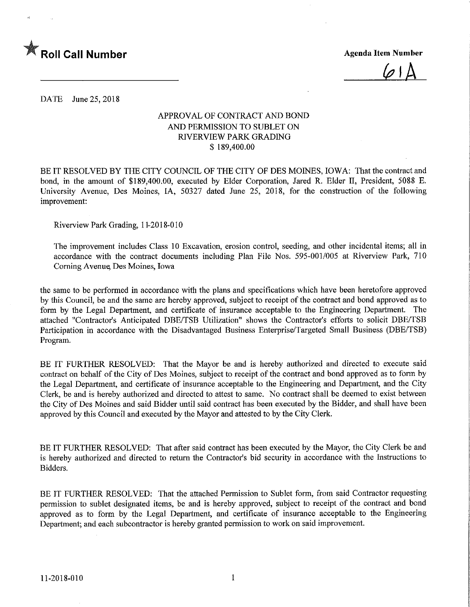

 $\varphi$  |  $\varLambda$ 

DATE June 25, 2018

#### APPROVAL OF CONTRACT AND BOND AND PERMISSION TO SUBLET ON RIVERVIEW PARK GRADING \$ 189,400.00

BE IT RESOLVED BY THE CITY COUNCIL OF THE CITY OF DES MOINES, IOWA: That the contract and bond, in the amount of \$189,400.00, executed by Elder Corporation, Jared R. Elder II, President, 5088 E. University Avenue, Des Moines, IA, 50327 dated June 25, 2018, for the construction of the following improvement:

Riverview Park Grading, 11-20 18-010

The improvement includes Class 10 Excavation, erosion control, seeding, and other incidental items; all in accordance with the contract documents including Plan File Nos. 595-001/005 at Riverview Park, 710 Coming Avenue Des Moines, Iowa

the same to be performed in accordance with the plans and specifications which have been heretofore approved by this Council, be and the same are hereby approved, subject to receipt of the contract and bond approved as to form by the Legal Department, and certificate of insurance acceptable to the Engineering Department. The attached "Contractor's Anticipated DBE/TSB Utilization" shows the Contractor's efforts to solicit DBE/TSB Participation in accordance with the Disadvantaged Business Enterprise/Targeted Small Business (DBE/TSB) Program.

BE IT FURTHER RESOLVED: That the Mayor be and is hereby authorized and directed to execute said contract on behalf of the City of Des Moines, subject to receipt of the contract and bond approved as to form by the Legal Department, and certificate of insurance acceptable to the Engineering and Department, and the City Clerk, be and is hereby authorized and directed to attest to same. No contract shall be deemed to exist between the City of Des Moines and said Bidder until said contract has been executed by the Bidder, and shall have been approved by this Council and executed by the Mayor and attested to by the City Clerk.

BE IT FURTHER RESOLVED: That after said contract has been executed by the Mayor, the City Clerk be and is hereby authorized and directed to return the Contractor's bid security in accordance with the Instructions to Bidders.

BE IT FURTHER RESOLVED: That the attached Permission to Sublet form, from said Contractor requesting permission to sublet designated items, be and is hereby approved, subject to receipt of the contract and bond approved as to form by the Legal Department, and certificate of insurance acceptable to the Engineering Department; and each subcontractor is hereby granted permission to work on said improvement.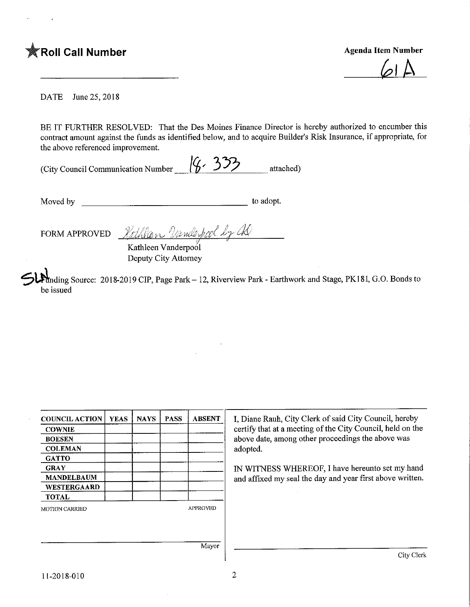# **Agenda Item Number** Agenda Item Number

 $\omega$ 

DATE June 25, 2018

BE IT FURTHER RESOLVED: That the Des Moines Finance Director is hereby authorized to encumber this contract amount against the funds as identified below, and to acquire Builder's Risk Insurance, if appropriate, for the above referenced improvement.

| (City Council Communication Number $(6.33)$ |  |           |
|---------------------------------------------|--|-----------|
|                                             |  | attached) |

Moved by to adopt.

FORM APPROVED Rothlan Unnlerfool by a

Kathleen Vanderpool Deputy City Attorney

Inding Source: 2018-2019 CIP, Page Park – 12, Riverview Park - Earthwork and Stage, PK181, G.O. Bonds to be issued

| <b>COUNCIL ACTION</b> | <b>YEAS</b> | <b>NAYS</b> | <b>PASS</b> | <b>ABSENT</b>   | I, Diane Rauh, City Clerk of said City Council, hereby     |
|-----------------------|-------------|-------------|-------------|-----------------|------------------------------------------------------------|
| <b>COWNIE</b>         |             |             |             |                 | certify that at a meeting of the City Council, held on the |
| <b>BOESEN</b>         |             |             |             |                 | above date, among other proceedings the above was          |
| <b>COLEMAN</b>        |             |             |             |                 | adopted.                                                   |
| <b>GATTO</b>          |             |             |             |                 |                                                            |
| <b>GRAY</b>           |             |             |             |                 | IN WITNESS WHEREOF, I have hereunto set my hand            |
| <b>MANDELBAUM</b>     |             |             |             |                 | and affixed my seal the day and year first above written.  |
| <b>WESTERGAARD</b>    |             |             |             |                 |                                                            |
| <b>TOTAL</b>          |             |             |             |                 |                                                            |
| <b>MOTION CARRIED</b> |             |             |             | <b>APPROVED</b> |                                                            |
|                       |             |             |             |                 |                                                            |
|                       |             |             |             |                 |                                                            |
|                       |             |             |             | Mayor           |                                                            |
|                       |             |             |             |                 | City Clerk                                                 |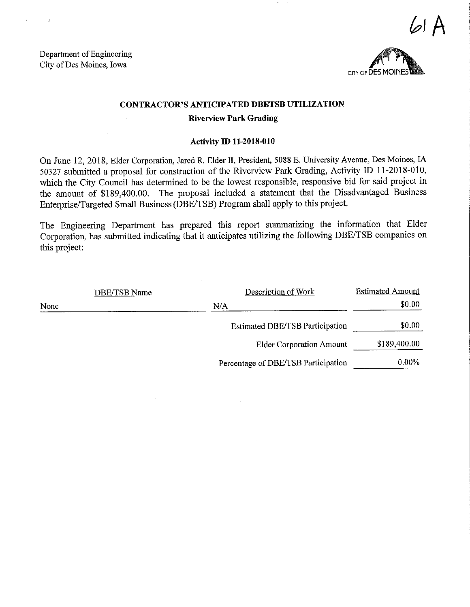Department of Engineering City of Des Moines, Iowa



A

## CONTRACTOR'S ANTICIPATED DBETSB UTILIZATION

#### Riverview Park Grading

#### Activity ID 11-2018-010

On June 12, 2018, Elder Corporation, Jared R. Elder II, President, 5088 E. University Avenue, Des Moines, IA 50327 submitted a proposal for construction of the Riverview Park Grading, Activity ID 11-2018-010, which the City Council has determined to be the lowest responsible, responsive bid for said project in the amount of \$189,400.00. The proposal included a statement that the Disadvantaged Business Enterprise/Targeted Small Business (DBE/TSB) Program shall apply to this project.

The Engineering Department has prepared this report summarizing the information that Elder Corporation, has submitted indicating that it anticipates utilizing the following DBE/TSB companies on this project:

|      | DBE/TSB Name | Description of Work                    | <b>Estimated Amount</b> |
|------|--------------|----------------------------------------|-------------------------|
| None |              | N/A                                    | \$0.00                  |
|      |              | <b>Estimated DBE/TSB Participation</b> | \$0.00                  |
|      |              | <b>Elder Corporation Amount</b>        | \$189,400.00            |
|      |              | Percentage of DBE/TSB Participation    | $0.00\%$                |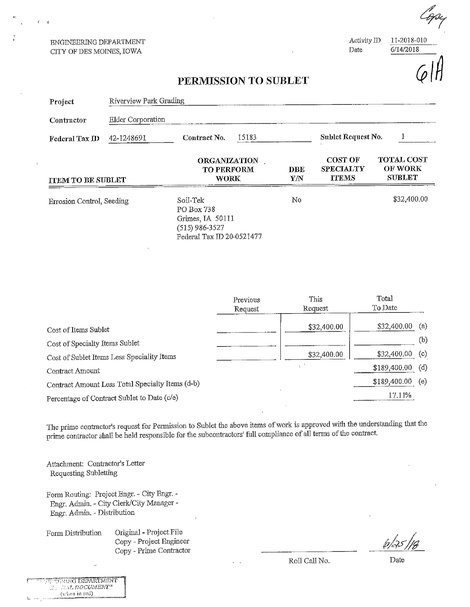ENGINEERING DEPARTMENT CITY OF DES MOINES, IOWA

Activity ID 11-2018-010<br>Date 6/14/2018

 $6/14/2018$ 

### PERMISSION TO SUBLET

| Project                   | Riverview Park Grading |                                                                                           |  |                   |                                                    |                                                      |  |
|---------------------------|------------------------|-------------------------------------------------------------------------------------------|--|-------------------|----------------------------------------------------|------------------------------------------------------|--|
| Contractor                | Elder Corporation      |                                                                                           |  |                   |                                                    |                                                      |  |
| Federal Tax ID            | 42-1248691             | 15183<br>Contract No.                                                                     |  |                   | Sublet Request No.                                 |                                                      |  |
| <b>ITEM TO BE SUBLET</b>  |                        | <b>ORGANIZATION</b><br><b>TO PERFORM</b><br><b>WORK</b>                                   |  | <b>DBE</b><br>Y/N | <b>COST OF</b><br><b>SPECIALTY</b><br><b>TTEMS</b> | <b>TOTAL COST</b><br><b>OF WORK</b><br><b>SUBLET</b> |  |
| Errosion Control, Seeding |                        | Soil-Tek<br>PO Box 738<br>Grimes, IA 50111<br>(515) 986-3527<br>Federal Tax ID 20-0521477 |  | No                |                                                    | \$32,400.00                                          |  |

|                                                  | Previous | This        | Total        |     |
|--------------------------------------------------|----------|-------------|--------------|-----|
|                                                  | Request  | Request     | To Date      |     |
| Cost of Items Sublet                             |          | \$32,400.00 | \$32,400.00  | (a) |
| Cost of Specialty Items Sublet                   |          |             |              | (b) |
| Cost of Sublet Items Less Speciality Items       |          | \$32,400.00 | \$32,400.00  | (c) |
| Contract Amount                                  |          |             | \$189,400.00 | (d) |
| Contract Amount Less Total Specialty Items (d-b) |          |             | \$189,400.00 | (e) |
| Percentage of Contract Sublet to Date (c/e)      |          |             | 17.11%       |     |

The prime contractor's request for Permission to Sublet the above items of work is approved with the understanding that lie prime contractor shall be held responsible for the subcontractors' full compliance of all terms of the contract,

Attachment: Contractor's Letter Requesting Subletting

Form Routing: Project Engr. - City Engr. - Engr. Admin. - City Clerk/City Manager -Engr. Admin. - Distribution

Form Distribution. Original - Project File Copy - Project Engineer Copy - Prime Contractor  $\overline{Roll}$  Call No. Date

**TERRIC DEPARTMENT R. WALDOCUMENT"** (when in red)

Roll Call No.